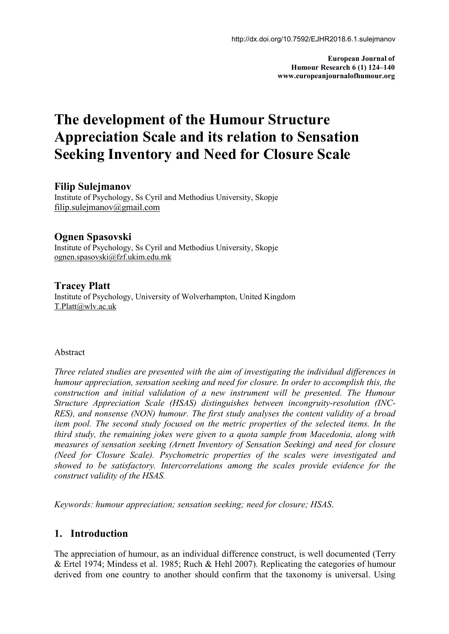**European Journal of Humour Research 6 (1) 124–140 www.europeanjournalofhumour.org**

# **The development of the Humour Structure Appreciation Scale and its relation to Sensation Seeking Inventory and Need for Closure Scale**

### **Filip Sulejmanov**

Institute of Psychology, Ss Cyril and Methodius University, Skopje [filip.sulejmanov@gmail.com](mailto:filip.sulejmanov@gmail.com)

# **Ognen Spasovski**

Institute of Psychology, Ss Cyril and Methodius University, Skopje ognen.spasovski@fzf.ukim.edu.mk

# **Tracey Platt**

Institute of Psychology, University of Wolverhampton, United Kingdom T.Platt@wlv.ac.uk

### Abstract

*Three related studies are presented with the aim of investigating the individual dif erences in humour appreciation, sensation seeking and need for closure. In order to accomplish this, the construction and initial validation of a new instrument will be presented. The Humour Structure Appreciation Scale (HSAS) distinguishes between incongruity-resolution (INC- RES), and nonsense (NON) humour. The first study analyses the content validity of a broad item pool. The second study focused on the metric properties of the selected items. In the third study, the remaining jokes were given to a quota sample from Macedonia, along with measures of sensation seeking (Arnett Inventory of Sensation Seeking) and need for closure (Need for Closure Scale). Psychometric properties of the scales were investigated and showed to be satisfactory. Intercorrelations among the scales provide evidence for the construct validity of the HSAS.*

*Keywords: humour appreciation; sensation seeking; need for closure; HSAS*.

# **1. Introduction**

The appreciation of humour, as an individual difference construct, is well documented (Terry & Ertel 1974; Mindess etal. 1985; Ruch & Hehl 2007). Replicating the categories of humour derived from one country to another should confirm that the taxonomy is universal. Using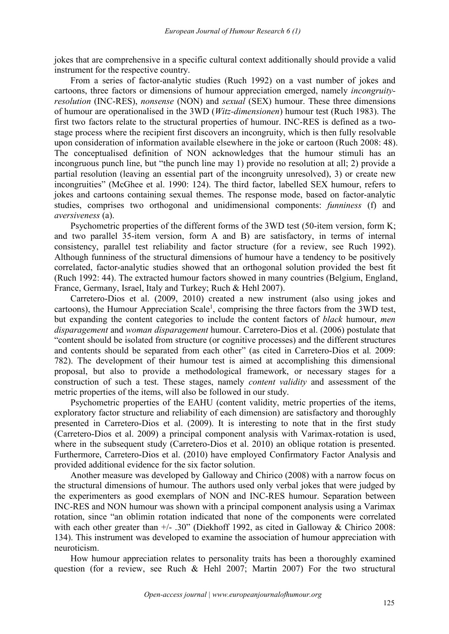jokes that are comprehensive in a specific cultural context additionally should provide a valid instrument for the respective country.

From a series of factor-analytic studies (Ruch 1992) on a vast number of jokes and cartoons, three factors or dimensions of humour appreciation emerged, namely *incongruity resolution* (INC-RES), *nonsense* (NON) and *sexual* (SEX) humour. These three dimensions of humour are operationalised in the 3WD (*Witz-dimensionen*) humour test (Ruch 1983). The first two factors relate to the structural properties of humour. INC-RES is defined as a two stage process where the recipient first discovers an incongruity, which is then fully resolvable upon consideration of information available elsewhere in the joke or cartoon (Ruch 2008: 48). The conceptualised definition of NON acknowledges that the humour stimuli has an incongruous punch line, but "the punch line may 1) provide no resolution at all; 2) provide a partial resolution (leaving an essential part of the incongruity unresolved), 3) or create new incongruities" (McGhee et al. 1990: 124). The third factor, labelled SEX humour, refers to jokes and cartoons containing sexual themes. The response mode, based on factor-analytic studies, comprises two orthogonal and unidimensional components: *funniness* (f) and *aversiveness* (a).

Psychometric properties of the different forms of the 3WD test (50-item version, form  $K$ ; and two parallel 35-item version, form A and B) are satisfactory, in terms of internal consistency, parallel test reliability and factor structure (for a review, see Ruch 1992). Although funniness of the structural dimensions of humour have a tendency to be positively correlated, factor-analytic studies showed that an orthogonal solution provided the best fit (Ruch 1992: 44). The extracted humour factors showed in many countries (Belgium, England, France, Germany, Israel, Italy and Turkey; Ruch & Hehl 2007).

Carretero-Dios et al. (2009, 2010) created a new instrument (also using jokes and cartoons), the Humour Appreciation Scale [1](#page-16-0) , comprising the three factors from the 3WD test, but expanding the content categories to include the content factors of *black* humour, *men disparagement* and *woman disparagement* humour. Carretero-Dios et al. (2006) postulate that "content should be isolated from structure (or cognitive processes) and the different structures and contents should be separated from each other" (as cited in Carretero-Dios et al*.* 2009: 782). The development of their humour test is aimed at accomplishing this dimensional proposal, but also to provide a methodological framework, or necessary stages for a construction of such a test. These stages, namely *content validity* and assessment of the metric properties of the items, will also be followed in our study.

Psychometric properties of the EAHU (content validity, metric properties of the items, exploratory factor structure and reliability of each dimension) are satisfactory and thoroughly presented in Carretero-Dios et al. (2009). It is interesting to note that in the first study (Carretero-Dios et al. 2009) a principal component analysis with Varimax-rotation is used, where in the subsequent study (Carretero-Dios et al. 2010) an oblique rotation is presented. Furthermore, Carretero-Dios et al. (2010) have employed Confirmatory Factor Analysis and provided additional evidence for the six factor solution.

Another measure was developed by Galloway and Chirico (2008) with a narrow focus on the structural dimensions of humour. The authors used only verbal jokes that were judged by the experimenters as good exemplars of NON and INC-RES humour. Separation between INC-RES and NON humour was shown with a principal component analysis using a Varimax rotation, since "an oblimin rotation indicated that none of the components were correlated with each other greater than  $+/-$  .30" (Diekhoff 1992, as cited in Galloway & Chirico 2008: 134). This instrument was developed to examine the association of humour appreciation with neuroticism.

How humour appreciation relates to personality traits has been a thoroughly examined question (for a review, see Ruch & Hehl 2007; Martin 2007) For the two structural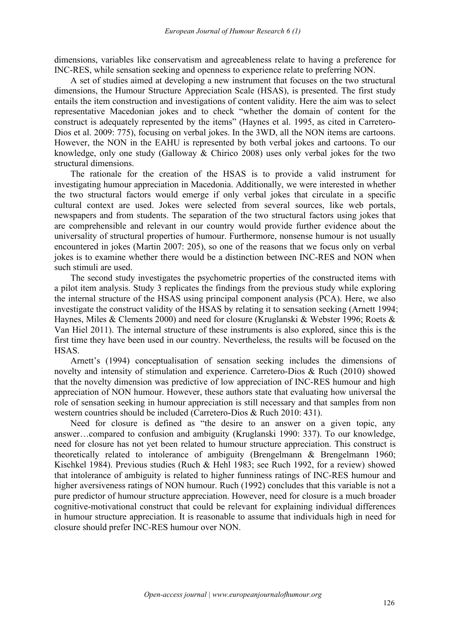dimensions, variables like conservatism and agreeableness relate to having a preference for INC-RES, while sensation seeking and openness to experience relate to preferring NON.

A set of studies aimed at developing a new instrument that focuses on the two structural dimensions, the Humour Structure Appreciation Scale (HSAS), is presented. The first study entails the item construction and investigations of content validity. Here the aim was to select representative Macedonian jokes and to check "whether the domain of content for the construct is adequately represented by the items" (Haynes et al. 1995, as cited in Carretero- Dios et al. 2009: 775), focusing on verbal jokes. In the 3WD, all the NON items are cartoons. However, the NON in the EAHU is represented by both verbal jokes and cartoons. To our knowledge, only one study (Galloway & Chirico 2008) uses only verbal jokes for the two structural dimensions.

The rationale for the creation of the HSAS is to provide a valid instrument for investigating humour appreciation in Macedonia. Additionally, we were interested in whether the two structural factors would emerge if only verbal jokes that circulate in a specific cultural context are used. Jokes were selected from several sources, like web portals, newspapers and from students. The separation of the two structural factors using jokes that are comprehensible and relevant in our country would provide further evidence about the universality of structural properties of humour. Furthermore, nonsense humour is not usually encountered in jokes (Martin 2007: 205), so one of the reasons that we focus only on verbal jokes is to examine whether there would be a distinction between INC-RES and NON when such stimuli are used.

The second study investigates the psychometric properties of the constructed items with a pilot item analysis. Study 3 replicates the findings from the previous study while exploring the internal structure of the HSAS using principal component analysis (PCA). Here, we also investigate the construct validity of the HSAS by relating it to sensation seeking (Arnett 1994; Haynes, Miles & Clements 2000) and need for closure (Kruglanski & Webster 1996; Roets & Van Hiel 2011). The internal structure of these instruments is also explored, since this is the first time they have been used in our country. Nevertheless, the results will be focused on the HSAS.

Arnett's (1994) conceptualisation of sensation seeking includes the dimensions of novelty and intensity of stimulation and experience. Carretero-Dios & Ruch (2010) showed that the novelty dimension was predictive of low appreciation of INC-RES humour and high appreciation of NON humour. However, these authors state that evaluating how universal the role of sensation seeking in humour appreciation is still necessary and that samples from non western countries should be included (Carretero-Dios & Ruch 2010: 431).

Need for closure is defined as "the desire to an answer on a given topic, any answer…compared to confusion and ambiguity (Kruglanski 1990: 337). To our knowledge, need for closure has not yet been related to humour structure appreciation. This construct is theoretically related to intolerance of ambiguity (Brengelmann & Brengelmann 1960; Kischkel 1984). Previous studies (Ruch & Hehl 1983; see Ruch 1992, for a review) showed that intolerance of ambiguity is related to higher funniness ratings of INC-RES humour and higher aversiveness ratings of NON humour. Ruch (1992) concludes that this variable is not a pure predictor of humour structure appreciation. However, need for closure is a much broader cognitive-motivational construct that could be relevant for explaining individual differences in humour structure appreciation. It is reasonable to assume that individuals high in need for closure should prefer INC-RES humour over NON.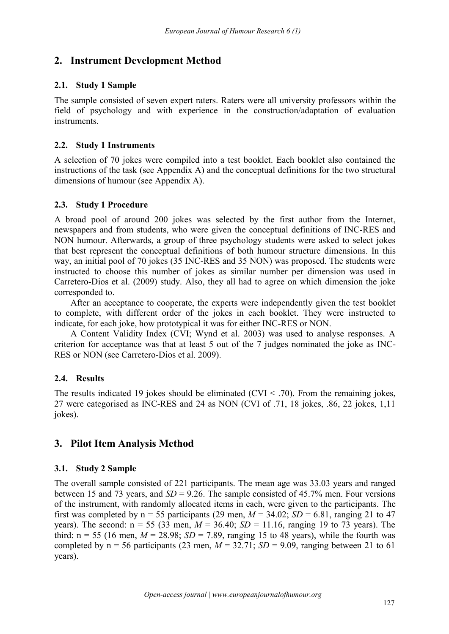# **2. Instrument Development Method**

# **2.1. Study 1 Sample**

The sample consisted of seven expert raters. Raters were all university professors within the field of psychology and with experience in the construction/adaptation of evaluation instruments.

### **2.2. Study 1 Instruments**

A selection of 70 jokes were compiled into a test booklet. Each booklet also contained the instructions of the task (see Appendix A) and the conceptual definitions for the two structural dimensions of humour (see Appendix A).

# **2.3. Study 1 Procedure**

A broad pool of around 200 jokes was selected by the first author from the Internet, newspapers and from students, who were given the conceptual definitions of INC-RES and NON humour. Afterwards, a group of three psychology students were asked to select jokes that best represent the conceptual definitions of both humour structure dimensions. In this way, an initial pool of 70 jokes (35 INC-RES and 35 NON) was proposed. The students were instructed to choose this number of jokes as similar number per dimension was used in Carretero-Dios et al. (2009) study. Also, they all had to agree on which dimension the joke corresponded to.

After an acceptance to cooperate, the experts were independently given the test booklet to complete, with different order of the jokes in each booklet. They were instructed to indicate, for each joke, how prototypical it was for either INC-RES or NON.

A Content Validity Index (CVI; Wynd et al. 2003) was used to analyse responses. A criterion for acceptance was that at least 5 out of the 7 judges nominated the joke as INC- RES or NON (see Carretero-Dios et al. 2009).

# **2.4. Results**

The results indicated 19 jokes should be eliminated  $(CVI < .70)$ . From the remaining jokes, 27 were categorised as INC-RES and 24 as NON (CVI of .71, 18 jokes, .86, 22 jokes, 1,11 jokes).

# **3. Pilot Item Analysis Method**

# **3.1. Study 2 Sample**

The overall sample consisted of 221 participants. The mean age was 33.03 years and ranged between 15 and 73 years, and *SD* = 9.26. The sample consisted of 45.7% men. Four versions of the instrument, with randomly allocated items in each, were given to the participants. The first was completed by  $n = 55$  participants (29 men,  $M = 34.02$ ;  $SD = 6.81$ , ranging 21 to 47 years). The second:  $n = 55$  (33 men,  $M = 36.40$ ;  $SD = 11.16$ , ranging 19 to 73 years). The third:  $n = 55$  (16 men,  $M = 28.98$ ;  $SD = 7.89$ , ranging 15 to 48 years), while the fourth was completed by  $n = 56$  participants (23 men,  $M = 32.71$ ;  $SD = 9.09$ , ranging between 21 to 61 years).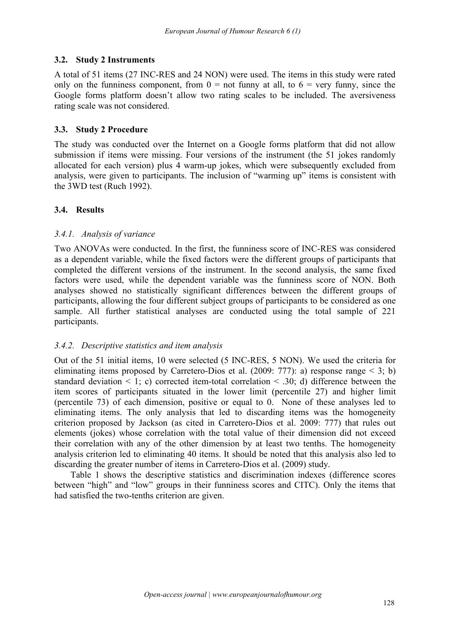### **3.2. Study 2 Instruments**

A total of 51 items (27 INC-RES and 24 NON) were used. The items in this study were rated only on the funniness component, from  $0 =$  not funny at all, to  $6 =$  very funny, since the Google forms platform doesn't allow two rating scales to be included. The aversiveness rating scale was not considered.

### **3.3. Study 2 Procedure**

The study was conducted over the Internet on a Google forms platform that did not allow submission if items were missing. Four versions of the instrument (the 51 jokes randomly allocated for each version) plus 4 warm-up jokes, which were subsequently excluded from analysis, were given to participants. The inclusion of "warming up" items is consistent with the 3WD test (Ruch 1992).

# **3.4. Results**

### *3.4.1. Analysis of variance*

Two ANOVAs were conducted. In the first, the funniness score of INC-RES was considered as a dependent variable, while the fixed factors were the different groups of participants that completed the different versions of the instrument. In the second analysis, the same fixed factors were used, while the dependent variable was the funniness score of NON. Both analyses showed no statistically significant differences between the different groups of participants, allowing the four different subject groups of participants to be considered as one sample. All further statistical analyses are conducted using the total sample of 221 participants.

### *3.4.2. Descriptive statistics and item analysis*

Out of the 51 initial items, 10 were selected (5 INC-RES, 5 NON). We used the criteria for eliminating items proposed by Carretero-Dios et al. (2009: 777): a) response range  $\leq$  3; b) standard deviation  $\leq 1$ ; c) corrected item-total correlation  $\leq 0.30$ ; d) difference between the item scores of participants situated in the lower limit (percentile 27) and higher limit (percentile 73) of each dimension, positive or equal to 0. None of these analyses led to eliminating items. The only analysis that led to discarding items was the homogeneity criterion proposed by Jackson (as cited in Carretero-Dios et al.2009: 777) that rules out elements (jokes) whose correlation with the total value of their dimension did not exceed their correlation with any of the other dimension by at least two tenths. The homogeneity analysis criterion led to eliminating 40 items. It should be noted that this analysis also led to discarding the greater number of items in Carretero-Dios et al. (2009) study.

Table 1 shows the descriptive statistics and discrimination indexes (difference scores between "high" and "low" groups in their funniness scores and CITC). Only the items that had satisfied the two-tenths criterion are given.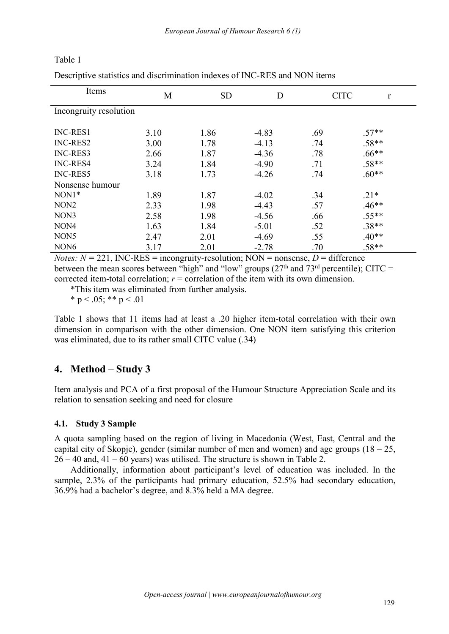Table 1

Descriptive statistics and discrimination indexes of INC-RES and NON items

| Items                  | M    | <b>SD</b> | D       | <b>CITC</b> | $\mathbf r$ |
|------------------------|------|-----------|---------|-------------|-------------|
| Incongruity resolution |      |           |         |             |             |
| <b>INC-RES1</b>        | 3.10 | 1.86      | $-4.83$ | .69         | $.57**$     |
| INC-RES2               | 3.00 | 1.78      | $-4.13$ | .74         | $.58**$     |
| INC-RES3               | 2.66 | 1.87      | $-4.36$ | .78         | $.66**$     |
| <b>INC-RES4</b>        | 3.24 | 1.84      | $-4.90$ | .71         | $.58**$     |
| <b>INC-RES5</b>        | 3.18 | 1.73      | $-4.26$ | .74         | $.60**$     |
| Nonsense humour        |      |           |         |             |             |
| NON1*                  | 1.89 | 1.87      | $-4.02$ | .34         | $.21*$      |
| NON <sub>2</sub>       | 2.33 | 1.98      | $-4.43$ | .57         | $.46**$     |
| NON3                   | 2.58 | 1.98      | $-4.56$ | .66         | $.55**$     |
| NON4                   | 1.63 | 1.84      | $-5.01$ | .52         | $.38**$     |
| NON <sub>5</sub>       | 2.47 | 2.01      | $-4.69$ | .55         | $.40**$     |
| NON <sub>6</sub>       | 3.17 | 2.01      | $-2.78$ | .70         | $.58**$     |
|                        |      |           |         |             |             |

*Notes:*  $N = 221$ , INC-RES = incongruity-resolution; NON = nonsense,  $D =$  difference between the mean scores between "high" and "low" groups  $(27<sup>th</sup>$  and  $73<sup>rd</sup>$  percentile); CITC = corrected item-total correlation;  $r =$  correlation of the item with its own dimension.

\*This item was eliminated from further analysis.

\* p < .05; \*\* p < .01

Table 1 shows that 11 items had at least a .20 higher item-total correlation with their own dimension in comparison with the other dimension. One NON item satisfying this criterion was eliminated, due to its rather small CITC value (.34)

# **4. Method – Study 3**

Item analysis and PCA of a first proposal of the Humour Structure Appreciation Scale and its relation to sensation seeking and need for closure

# **4.1. Study 3 Sample**

A quota sampling based on the region of living in Macedonia (West, East, Central and the capital city of Skopje), gender (similar number of men and women) and age groups  $(18 - 25,$  $26 - 40$  and,  $41 - 60$  years) was utilised. The structure is shown in Table 2.

Additionally, information about participant's level of education was included. In the sample, 2.3% of the participants had primary education, 52.5% had secondary education, 36.9% had a bachelor's degree, and 8.3% held a MA degree.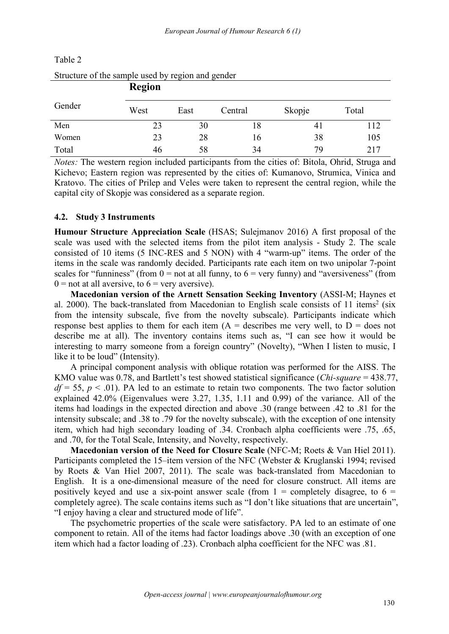| butture of the sample asea by region and genuer |               |      |         |        |       |  |  |  |  |
|-------------------------------------------------|---------------|------|---------|--------|-------|--|--|--|--|
|                                                 | <b>Region</b> |      |         |        |       |  |  |  |  |
| Gender                                          | West          | East | Central | Skopje | Total |  |  |  |  |
| Men                                             | 23            | 30   | 18.     | 41     | 112   |  |  |  |  |
| Women                                           | 23            | 28   | 16      | 38     | 105   |  |  |  |  |
| Total                                           | 46            | 58   | 34      | 79     | 217   |  |  |  |  |

### Table 2

| Vomen                                                                                                                                                                                    |    | 28 | I6 | 38 | 10: |
|------------------------------------------------------------------------------------------------------------------------------------------------------------------------------------------|----|----|----|----|-----|
| `otal                                                                                                                                                                                    | 46 |    |    | 70 |     |
| <i>lotes:</i> The western region included participants from the cities of: Bitola, Ohrid, Strugg<br>Gichevo; Eastern region was represented by the cities of: Kumanovo, Strumica, Vinica |    |    |    |    |     |

Structure of the sample used by region and gender

*Notes:* The western region included participants from the cities of: Bitola, Ohrid, Struga and Kichevo; Eastern region was represented by the cities of: Kumanovo, Strumica, Vinica and Kratovo. The cities of Prilep and Veles were taken to represent the central region, while the capital city of Skopje was considered as a separate region.

### **4.2. Study 3 Instruments**

**Humour Structure Appreciation Scale** (HSAS; Sulejmanov 2016) A first proposal of the scale was used with the selected items from the pilot item analysis - Study 2. The scale consisted of 10 items (5 INC-RES and 5 NON) with 4 "warm-up" items. The order of the items in the scale was randomly decided. Participants rate each item on two unipolar 7-point scales for "funniness" (from  $0 =$  not at all funny, to  $6 =$  very funny) and "aversiveness" (from  $0 =$  not at all aversive, to  $6 =$  very aversive).

**Macedonian version of the Arnett Sensation Seeking Inventory** (ASSI-M; Haynes et al. [2](#page-16-1)000). The back-translated from Macedonian to English scale consists of 11 items<sup>2</sup> (six from the intensity subscale, five from the novelty subscale). Participants indicate which response best applies to them for each item  $(A =$  describes me very well, to  $D =$  does not describe me at all). The inventory contains items such as, "I can see how it would be interesting to marry someone from a foreign country" (Novelty), "When I listen to music, I like it to be loud" (Intensity).

A principal component analysis with oblique rotation was performed for the AISS. The KMO value was 0.78, and Bartlett's test showed statistical significance (*Chi-square* = 438.77,  $df = 55$ ,  $p < .01$ ). PA led to an estimate to retain two components. The two factor solution explained 42.0% (Eigenvalues were 3.27, 1.35, 1.11 and 0.99) of the variance. All of the items had loadings in the expected direction and above .30 (range between .42 to .81 for the intensity subscale; and .38 to .79 for the novelty subscale), with the exception of one intensity item, which had high secondary loading of .34. Cronbach alpha coefficients were .75, .65, and .70, for the Total Scale, Intensity, and Novelty, respectively.

**Macedonian version of the Need for Closure Scale** (NFC-M; Roets & Van Hiel 2011). Participants completed the 15–item version of the NFC (Webster & Kruglanski 1994; revised by Roets & Van Hiel 2007, 2011). The scale was back-translated from Macedonian to English. It is a one-dimensional measure of the need for closure construct. All items are positively keyed and use a six-point answer scale (from  $1 =$  completely disagree, to 6 = completely agree). The scale contains items such as "I don't like situations that are uncertain", "I enjoy having a clear and structured mode of life".

The psychometric properties of the scale were satisfactory. PA led to an estimate of one component to retain. All of the items had factor loadings above .30 (with an exception of one item which had a factor loading of .23). Cronbach alpha coefficient for the NFC was .81.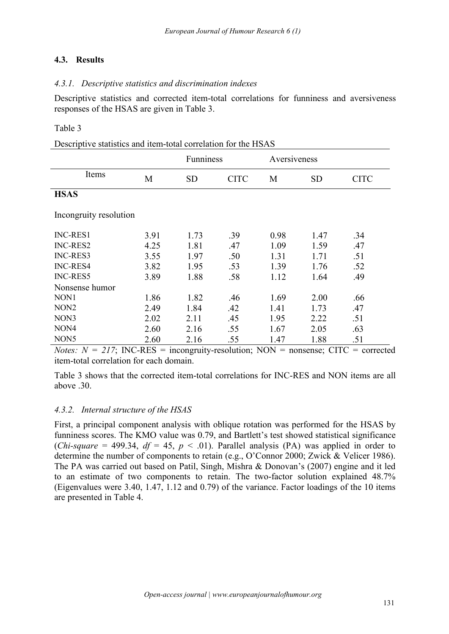### **4.3. Results**

### *4.3.1. Descriptive statistics and discrimination indexes*

Descriptive statistics and corrected item-total correlations for funniness and aversiveness responses of the HSAS are given in Table 3.

### Table 3

|                        |      | Funniness |             | Aversiveness |           |             |  |
|------------------------|------|-----------|-------------|--------------|-----------|-------------|--|
| Items                  | M    | <b>SD</b> | <b>CITC</b> | M            | <b>SD</b> | <b>CITC</b> |  |
| <b>HSAS</b>            |      |           |             |              |           |             |  |
| Incongruity resolution |      |           |             |              |           |             |  |
| INC-RES1               | 3.91 | 1.73      | .39         | 0.98         | 1.47      | .34         |  |
| INC-RES2               | 4.25 | 1.81      | .47         | 1.09         | 1.59      | .47         |  |
| INC-RES3               | 3.55 | 1.97      | .50         | 1.31         | 1.71      | .51         |  |
| INC-RES4               | 3.82 | 1.95      | .53         | 1.39         | 1.76      | .52         |  |
| INC-RES5               | 3.89 | 1.88      | .58         | 1.12         | 1.64      | .49         |  |
| Nonsense humor         |      |           |             |              |           |             |  |
| NON1                   | 1.86 | 1.82      | .46         | 1.69         | 2.00      | .66         |  |
| NON <sub>2</sub>       | 2.49 | 1.84      | .42         | 1.41         | 1.73      | .47         |  |
| NON3                   | 2.02 | 2.11      | .45         | 1.95         | 2.22      | .51         |  |
| NON4                   | 2.60 | 2.16      | .55         | 1.67         | 2.05      | .63         |  |
| NON <sub>5</sub>       | 2.60 | 2.16      | .55         | 1.47         | 1.88      | .51         |  |

*Notes:*  $N = 217$ ; INC-RES = incongruity-resolution; NON = nonsense; CITC = corrected item-total correlation for each domain.

Table 3 shows that the corrected item-total correlations for INC-RES and NON items are all above .30.

### *4.3.2. Internal structure of the HSAS*

First, a principal component analysis with oblique rotation was performed for the HSAS by funniness scores. The KMO value was 0.79, and Bartlett's test showed statistical significance (*Chi-square* = 499.34,  $df = 45$ ,  $p < .01$ ). Parallel analysis (PA) was applied in order to determine the number of components to retain (e.g., O'Connor 2000; Zwick & Velicer 1986). The PA was carried out based on Patil, Singh, Mishra & Donovan's (2007) engine and it led to an estimate of two components to retain. The two-factor solution explained 48.7% (Eigenvalues were 3.40, 1.47, 1.12 and 0.79) of the variance. Factor loadings of the 10 items are presented in Table 4.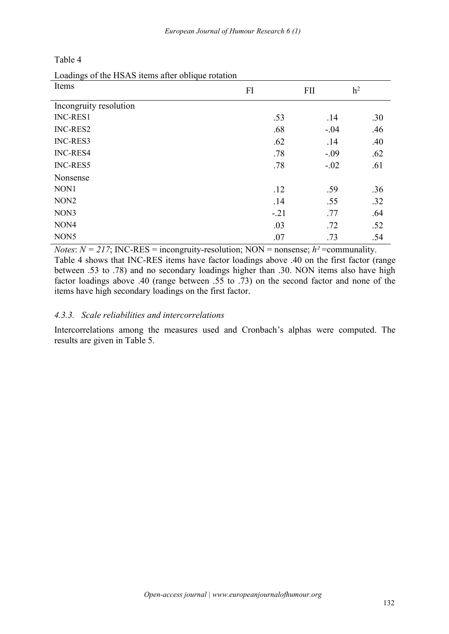| Table 4 |  |  |
|---------|--|--|
|         |  |  |

Loadings of the HSAS items after oblique rotation

| Items                  | FI     | <b>FII</b> | h <sup>2</sup> |
|------------------------|--------|------------|----------------|
| Incongruity resolution |        |            |                |
| INC-RES1               | .53    | .14        | .30            |
| INC-RES2               | .68    | $-.04$     | .46            |
| INC-RES3               | .62    | .14        | .40            |
| INC-RES4               | .78    | $-.09$     | .62            |
| INC-RES5               | .78    | $-.02$     | .61            |
| Nonsense               |        |            |                |
| NON1                   | .12    | .59        | .36            |
| NON <sub>2</sub>       | .14    | .55        | .32            |
| NON3                   | $-.21$ | .77        | .64            |
| NON4                   | .03    | .72        | .52            |
| NON <sub>5</sub>       | .07    | .73        | .54            |

*Notes*:  $N = 217$ ; INC-RES = incongruity-resolution; NON = nonsense;  $h^2$  = communality. Table 4 shows that INC-RES items have factor loadings above .40 on the first factor (range between .53 to .78) and no secondary loadings higher than .30. NON items also have high factor loadings above .40 (range between .55 to .73) on the second factor and none of the items have high secondary loadings on the first factor.

### *4.3.3. Scale reliabilities and intercorrelations*

Intercorrelations among the measures used and Cronbach's alphas were computed. The results are given in Table 5.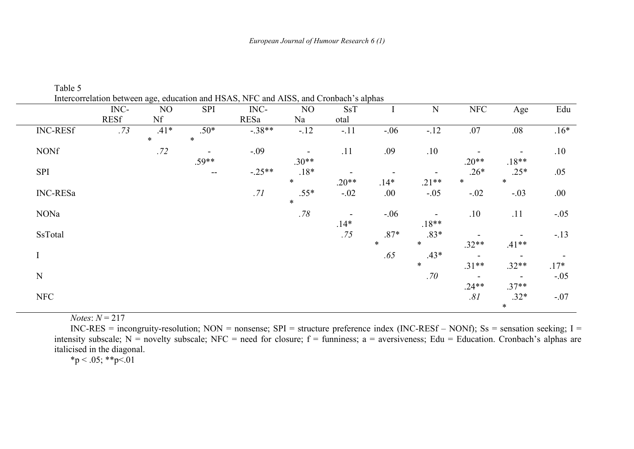|                 | $INC-$      | NO               | <b>SPI</b>        | INC-     | NO                                  | <b>SsT</b>                          | $\bf{I}$                           | ${\bf N}$                           | <b>NFC</b>               | Age                                 | Edu                                |
|-----------------|-------------|------------------|-------------------|----------|-------------------------------------|-------------------------------------|------------------------------------|-------------------------------------|--------------------------|-------------------------------------|------------------------------------|
|                 | <b>RESf</b> | Nf               |                   | RESa     | Na                                  | otal                                |                                    |                                     |                          |                                     |                                    |
| <b>INC-RESf</b> | .73         | $.41*$<br>$\ast$ | $.50*$<br>$\ast$  | $-.38**$ | $-.12$                              | $-.11$                              | $-.06$                             | $-.12$                              | .07                      | .08                                 | $.16*$                             |
| <b>NONf</b>     |             | .72              | $\sim$<br>$.59**$ | $-.09$   | $\overline{\phantom{a}}$<br>$.30**$ | .11                                 | .09                                | .10                                 | $.20**$                  | $\overline{\phantom{0}}$<br>$.18**$ | $.10$                              |
| <b>SPI</b>      |             |                  | $\sim$ $\sim$     | $-.25**$ | $.18*$<br>$\ast$                    | $\overline{\phantom{a}}$<br>$.20**$ | $\overline{\phantom{a}}$<br>$.14*$ | $\overline{\phantom{a}}$<br>$.21**$ | $.26*$<br>$\ast$         | $.25*$<br>$\ast$                    | .05                                |
| <b>INC-RESa</b> |             |                  |                   | .71      | $.55*$<br>$\ast$                    | $-.02$                              | .00.                               | $-.05$                              | $-.02$                   | $-.03$                              | .00.                               |
| NONa            |             |                  |                   |          | .78                                 | $\overline{\phantom{a}}$<br>$.14*$  | $-.06$                             | $\overline{\phantom{a}}$<br>$.18**$ | .10                      | .11                                 | $-.05$                             |
| SsTotal         |             |                  |                   |          |                                     | .75                                 | $.87*$<br>$\ast$                   | $.83*$<br>$\ast$                    | $.32**$                  | $.41**$                             | $-.13$                             |
|                 |             |                  |                   |          |                                     |                                     | .65                                | $.43*$<br>$\ast$                    | $\sim$<br>$.31**$        | $.32**$                             | $\overline{\phantom{a}}$<br>$.17*$ |
| ${\bf N}$       |             |                  |                   |          |                                     |                                     |                                    | .70                                 | $\overline{\phantom{a}}$ | $\sim$                              | $-.05$                             |
| <b>NFC</b>      |             |                  |                   |          |                                     |                                     |                                    |                                     | $.24**$<br>.81           | $.37**$<br>$.32*$<br>$\ast$         | $-.07$                             |

Table 5

 $$ 

INC-RES = incongruity-resolution; NON = nonsense; SPI = structure preference index (INC-RESf – NONf); Ss = sensation seeking; I = intensity subscale;  $N =$  novelty subscale; NFC = need for closure;  $f =$  funniness;  $a =$  aversiveness; Edu = Education. Cronbach's alphas are italicised in the diagonal.

 $*p < .05; **p < .01$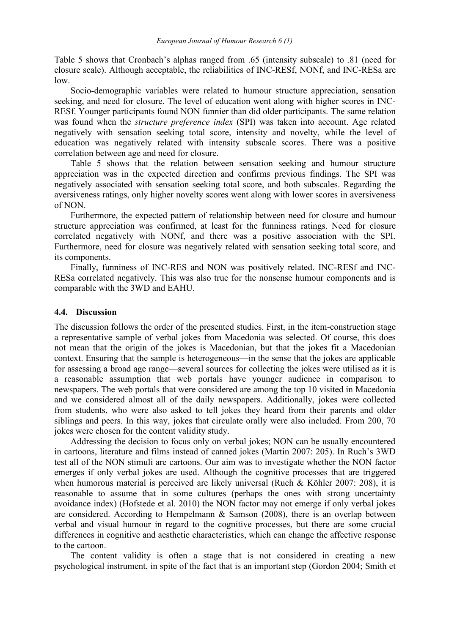Table 5 shows that Cronbach's alphas ranged from .65 (intensity subscale) to .81 (need for closure scale). Although acceptable, the reliabilities of INC-RESf, NONf, and INC-RESa are low.Socio-demographic variables were related to humour structure appreciation, sensation

seeking, and need for closure. The level of education went along with higher scores in INC- RESf. Younger participants found NON funnier than did older participants. The same relation was found when the *structure preference index* (SPI) was taken into account. Age related negatively with sensation seeking total score, intensity and novelty, while the level of education was negatively related with intensity subscale scores. There was a positive correlation between age and need for closure.

Table 5 shows that the relation between sensation seeking and humour structure appreciation was in the expected direction and confirms previous findings. The SPI was negatively associated with sensation seeking total score, and both subscales. Regarding the aversiveness ratings, only higher novelty scores went along with lower scores in aversiveness of NON.

Furthermore, the expected pattern of relationship between need for closure and humour structure appreciation was confirmed, at least for the funniness ratings. Need for closure correlated negatively with NONf, and there was a positive association with the SPI. Furthermore, need for closure was negatively related with sensation seeking total score, and its components.

Finally, funniness of INC-RES and NON was positively related. INC-RESf and INC- RESa correlated negatively.This was also true for the nonsense humour components and is comparable with the 3WD and EAHU.

#### **4.4. Discussion**

The discussion follows the order of the presented studies. First, in the item-construction stage a representative sample of verbal jokes from Macedonia was selected. Of course, this does not mean that the origin of the jokes is Macedonian, but that the jokes fit a Macedonian context. Ensuring that the sample is heterogeneous—in the sense that the jokes are applicable for assessing a broad age range—several sources for collecting the jokes were utilised as it is a reasonable assumption that web portals have younger audience in comparison to newspapers. The web portals that were considered are among the top 10 visited in Macedonia and we considered almost all of the daily newspapers. Additionally, jokes were collected from students, who were also asked to tell jokes they heard from their parents and older siblings and peers. In this way, jokes that circulate orally were also included. From 200, 70 jokes were chosen for the content validity study.

Addressing the decision to focus only on verbal jokes; NON can be usually encountered in cartoons, literature and films instead of canned jokes (Martin 2007: 205). In Ruch's 3WD test all of the NON stimuli are cartoons. Our aim was to investigate whether the NON factor emerges if only verbal jokes are used. Although the cognitive processes that are triggered when humorous material is perceived are likely universal (Ruch & Köhler 2007: 208), it is reasonable to assume that in some cultures (perhaps the ones with strong uncertainty avoidance index) (Hofstede et al. 2010) the NON factor may not emerge if only verbal jokes are considered. According to Hempelmann & Samson (2008), there is an overlap between verbal and visual humour in regard to the cognitive processes, but there are some crucial differences in cognitive and aesthetic characteristics, which can change the affective response to the cartoon.

The content validity is often a stage that is not considered in creating a new psychological instrument, in spite of the fact that is an important step (Gordon 2004; Smith et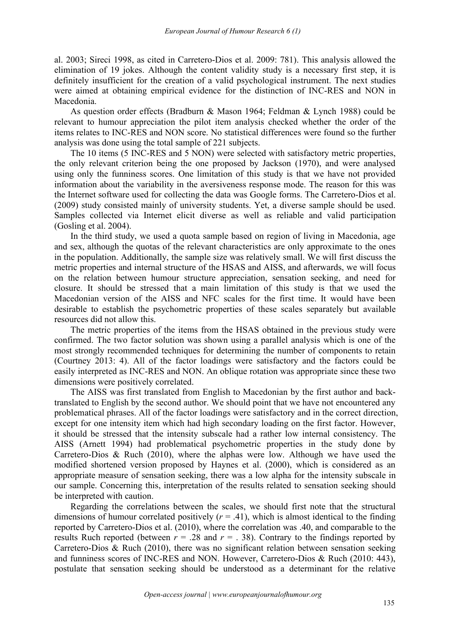al. 2003; Sireci 1998, as cited in Carretero-Dios et al. 2009: 781). This analysis allowed the elimination of 19 jokes. Although the content validity study is a necessary first step, it is definitely insufficient for the creation of a valid psychological instrument. The next studies were aimed at obtaining empirical evidence for the distinction of INC-RES and NON in Macedonia.

As question order effects (Bradburn & Mason 1964; Feldman & Lynch 1988) could be relevant to humour appreciation the pilot item analysis checked whether the order of the items relates to INC-RES and NON score. No statistical differences were found so the further analysis was done using the total sample of 221 subjects.

The 10 items (5 INC-RES and 5 NON) were selected with satisfactory metric properties, the only relevant criterion being the one proposed by Jackson (1970), and were analysed using only the funniness scores. One limitation of this study is that we have not provided information about the variability in the aversiveness response mode. The reason for this was the Internet software used for collecting the data was Google forms. The Carretero-Dios et al. (2009) study consisted mainly of university students. Yet, a diverse sample should be used. Samples collected via Internet elicit diverse as well as reliable and valid participation (Gosling et al. 2004).

In the third study, we used a quota sample based on region of living in Macedonia, age and sex, although the quotas of the relevant characteristics are only approximate to the ones in the population. Additionally, the sample size was relatively small. We will first discuss the metric properties and internal structure of the HSAS and AISS, and afterwards, we will focus on the relation between humour structure appreciation, sensation seeking, and need for closure. It should be stressed that a main limitation of this study is that we used the Macedonian version of the AISS and NFC scales for the first time. It would have been desirable to establish the psychometric properties of these scales separately but available resources did not allow this.

The metric properties of the items from the HSAS obtained in the previous study were confirmed. The two factor solution was shown using a parallel analysis which is one of the most strongly recommended techniques for determining the number of components to retain (Courtney 2013: 4). All of the factor loadings were satisfactory and the factors could be easily interpreted as INC-RES and NON. An oblique rotation was appropriate since these two dimensions were positively correlated.

The AISS was first translated from English to Macedonian by the first author and backtranslated to English by the second author. We should point that we have not encountered any problematical phrases. All of the factor loadings were satisfactory and in the correct direction, except for one intensity item which had high secondary loading on the first factor. However, it should be stressed that the intensity subscale had a rather low internal consistency. The AISS (Arnett 1994) had problematical psychometric properties in the study done by Carretero-Dios & Ruch (2010), where the alphas were low. Although we have used the modified shortened version proposed by Haynes et al. (2000), which is considered as an appropriate measure of sensation seeking, there was a low alpha for the intensity subscale in our sample. Concerning this, interpretation of the results related to sensation seeking should be interpreted with caution.

Regarding the correlations between the scales, we should first note that the structural dimensions of humour correlated positively  $(r = .41)$ , which is almost identical to the finding reported by Carretero-Dios et al. (2010), where the correlation was .40, and comparable to the results Ruch reported (between  $r = .28$  and  $r = .38$ ). Contrary to the findings reported by Carretero-Dios & Ruch (2010), there was no significant relation between sensation seeking and funniness scores of INC-RES and NON. However, Carretero-Dios & Ruch (2010: 443), postulate that sensation seeking should be understood as a determinant for the relative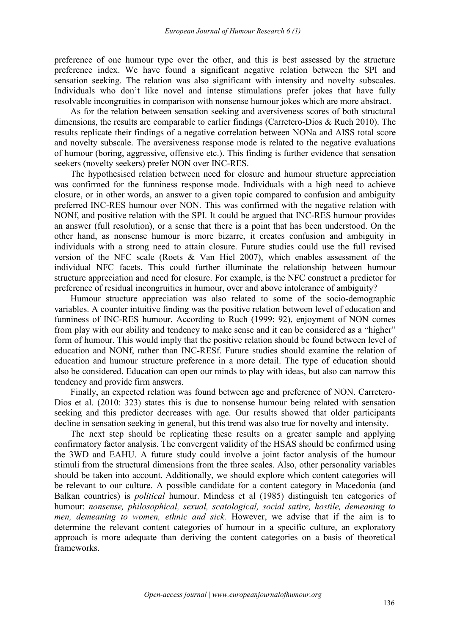preference of one humour type over the other, and this is best assessed by the structure preference index. We have found a significant negative relation between the SPI and sensation seeking. The relation was also significant with intensity and novelty subscales. Individuals who don't like novel and intense stimulations prefer jokes that have fully resolvable incongruities in comparison with nonsense humour jokes which are more abstract.

As for the relation between sensation seeking and aversiveness scores of both structural dimensions, the results are comparable to earlier findings (Carretero-Dios & Ruch 2010). The results replicate their findings of a negative correlation between NONa and AISS total score and novelty subscale. The aversiveness response mode is related to the negative evaluations of humour (boring, aggressive, offensive etc.). This finding is further evidence that sensation seekers (novelty seekers) prefer NON over INC-RES.

The hypothesised relation between need for closure and humour structure appreciation was confirmed for the funniness response mode. Individuals with a high need to achieve closure, or in other words, an answer to a given topic compared to confusion and ambiguity preferred INC-RES humour over NON. This was confirmed with the negative relation with NONf, and positive relation with the SPI. It could be argued that INC-RES humour provides an answer (full resolution), or a sense that there is a point that has been understood. On the other hand, as nonsense humour is more bizarre, it creates confusion and ambiguity in individuals with a strong need to attain closure. Future studies could use the full revised version of the NFC scale (Roets & Van Hiel 2007), which enables assessment of the individual NFC facets. This could further illuminate the relationship between humour structure appreciation and need for closure. For example, is the NFC construct a predictor for preference of residual incongruities in humour, over and above intolerance of ambiguity?

Humour structure appreciation was also related to some of the socio-demographic variables. A counter intuitive finding was the positive relation between level of education and funniness of INC-RES humour. According to Ruch (1999: 92), enjoyment of NON comes from play with our ability and tendency to make sense and it can be considered as a "higher" form of humour. This would imply that the positive relation should be found between level of education and NONf, rather than INC-RESf. Future studies should examine the relation of education and humour structure preference in a more detail. The type of education should also be considered. Education can open our minds to play with ideas, but also can narrow this tendency and provide firm answers.

Finally, an expected relation was found between age and preference of NON. Carretero- Dios et al. (2010: 323) states this is due to nonsense humour being related with sensation seeking and this predictor decreases with age. Our results showed that older participants decline in sensation seeking in general, but this trend was also true for novelty and intensity.

The next step should be replicating these results on a greater sample and applying confirmatory factor analysis. The convergent validity of the HSAS should be confirmed using the 3WD and EAHU. A future study could involve a joint factor analysis of the humour stimuli from the structural dimensions from the three scales. Also, other personality variables should be taken into account. Additionally, we should explore which content categories will be relevant to our culture. A possible candidate for a content category in Macedonia (and Balkan countries) is *political* humour. Mindess et al (1985) distinguish ten categories of humour: *nonsense, philosophical, sexual, scatological, social satire, hostile, demeaning to men, demeaning to women, ethnic and sick.* However, we advise that if the aim is to determine the relevant content categories of humour in a specific culture, an exploratory approach is more adequate than deriving the content categories on a basis of theoretical frameworks.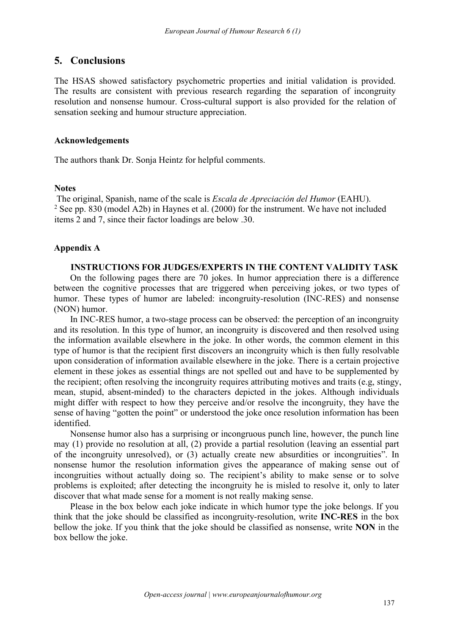### **5. Conclusions**

The HSAS showed satisfactory psychometric properties and initial validation is provided. The results are consistent with previous research regarding the separation of incongruity resolution and nonsense humour. Cross-cultural support is also provided for the relation of sensation seeking and humour structure appreciation.

### **Acknowledgements**

The authors thank Dr. Sonja Heintz for helpful comments.

#### **Notes**

The original, Spanish, name of the scale is *Escala de Apreciación del Humor* (EAHU). <sup>2</sup> See pp. 830 (model A2b) in Haynes et al. (2000) for the instrument. We have not included items 2 and 7, since their factor loadings are below .30.

### **Appendix A**

### **INSTRUCTIONS FOR JUDGES/EXPERTS IN THE CONTENT VALIDITY TASK**

On the following pages there are 70 jokes. In humor appreciation there is a difference between the cognitive processes that are triggered when perceiving jokes, or two types of humor. These types of humor are labeled: incongruity-resolution (INC-RES) and nonsense (NON) humor.

In INC-RES humor, a two-stage process can be observed: the perception of an incongruity and its resolution. In this type of humor, an incongruity is discovered and then resolved using the information available elsewhere in the joke. In other words, the common element in this type of humor is that the recipient first discovers an incongruity which is then fully resolvable upon consideration of information available elsewhere in the joke. There is a certain projective element in these jokes as essential things are not spelled out and have to be supplemented by the recipient; often resolving the incongruity requires attributing motives and traits (e.g, stingy, mean, stupid, absent-minded) to the characters depicted in the jokes. Although individuals might differ with respect to how they perceive and/or resolve the incongruity, they have the sense of having "gotten the point" or understood the joke once resolution information has been identified.

Nonsense humor also has a surprising or incongruous punch line, however, the punch line may (1) provide no resolution at all, (2) provide a partial resolution (leaving an essential part of the incongruity unresolved), or (3) actually create new absurdities or incongruities". In nonsense humor the resolution information gives the appearance of making sense out of incongruities without actually doing so. The recipient's ability to make sense or to solve problems is exploited; after detecting the incongruity he is misled to resolve it, only to later discover that what made sense for a moment is not really making sense.

Please in the box below each joke indicate in which humor type the joke belongs. If you think that the joke should be classified as incongruity-resolution, write **INC-RES** in the box bellow the joke. If you think that the joke should be classified as nonsense, write **NON** in the box bellow the joke.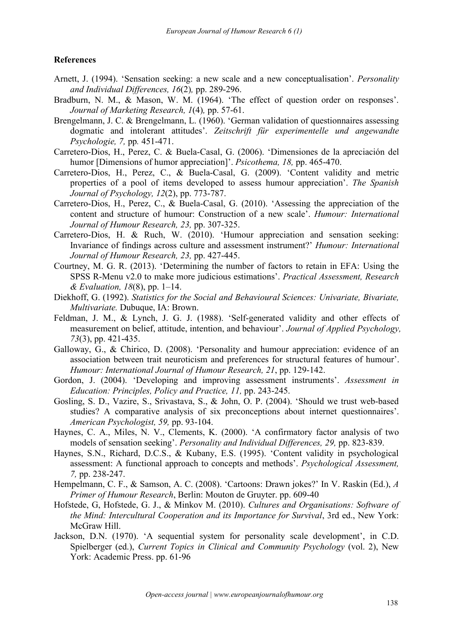### **References**

- Arnett, J. (1994). 'Sensation seeking: a new scale and a new conceptualisation'. *Personality and Individual Dif erences, 16*(2)*,* pp. 289-296.
- Bradburn, N. M., & Mason, W. M. (1964). 'The effect of question order on responses'. *Journal of Marketing Research, 1*(4)*,* pp. 57-61.
- Brengelmann, J. C. & Brengelmann, L. (1960). 'German validation of questionnaires assessing dogmatic and intolerant attitudes'. *Zeitschrift für experimentelle und angewandte Psychologie, 7,* pp*.* 451-471.
- Carretero-Dios, H., Perez, C. & Buela-Casal, G. (2006). 'Dimensiones de la apreciación del humor [Dimensions of humor appreciation]'. *Psicothema, 18,* pp. 465-470.
- Carretero-Dios, H., Perez, C., & Buela-Casal, G. (2009). 'Content validity and metric properties of a pool of items developed to assess humour appreciation'. *The Spanish Journal of Psychology, 12*(2), pp. 773-787.
- Carretero-Dios, H., Perez, C., & Buela-Casal, G. (2010). 'Assessing the appreciation of the content and structure of humour: Construction of a new scale'. *Humour: International Journal of Humour Research, 23,* pp. 307-325.
- Carretero-Dios, H. & Ruch, W. (2010). 'Humour appreciation and sensation seeking: Invariance of findings across culture and assessment instrument?' *Humour: International Journal of Humour Research, 23,* pp. 427-445.
- Courtney, M. G. R. (2013). 'Determining the number of factors to retain in EFA: Using the SPSS R-Menu v2.0 to make more judicious estimations'. *Practical Assessment, Research & Evaluation, 18*(8), pp. 1–14.
- Diekhoff, G. (1992). *Statistics for the Social and Behavioural Sciences: Univariate, Bivariate, Multivariate.* Dubuque, IA: Brown.
- Feldman, J. M., & Lynch, J. G. J. (1988). 'Self-generated validity and other effects of measurement on belief, attitude, intention, and behaviour'. *Journal of Applied Psychology, 73*(3), pp. 421-435.
- Galloway, G., & Chirico, D. (2008). 'Personality and humour appreciation: evidence of an association between trait neuroticism and preferences for structural features of humour'. *Humour: International Journal of Humour Research, 21*, pp. 129-142.
- Gordon, J. (2004). 'Developing and improving assessment instruments'. *Assessment in Education: Principles, Policy and Practice, 11,* pp. 243-245.
- Gosling, S. D., Vazire, S., Srivastava, S., & John, O. P. (2004). 'Should we trust web-based studies? A comparative analysis of six preconceptions about internet questionnaires'. *American Psychologist, 59,* pp. 93-104.
- Haynes, C. A., Miles, N. V., Clements, K. (2000). 'A confirmatory factor analysis of two models of sensation seeking'. *Personality and Individual Differences*, 29, pp. 823-839.
- Haynes, S.N., Richard, D.C.S., & Kubany, E.S. (1995). 'Content validity in psychological assessment: A functional approach to concepts and methods'. *Psychological Assessment, 7,* pp. 238-247.
- Hempelmann, C. F., & Samson, A. C. (2008). 'Cartoons: Drawn jokes?' In V. Raskin (Ed.), A *Primer of Humour Research*, Berlin: Mouton de Gruyter. pp. 609-40
- Hofstede, G, Hofstede, G. J., & Minkov M. (2010). *Cultures and Organisations: Software of the Mind: Intercultural Cooperation and its Importance for Survival*, 3rd ed., New York: McGraw Hill.
- Jackson, D.N. (1970). 'A sequential system for personality scale development', in C.D. Spielberger (ed.), *Current Topics in Clinical and Community Psychology* (vol. 2), New York: Academic Press. pp. 61-96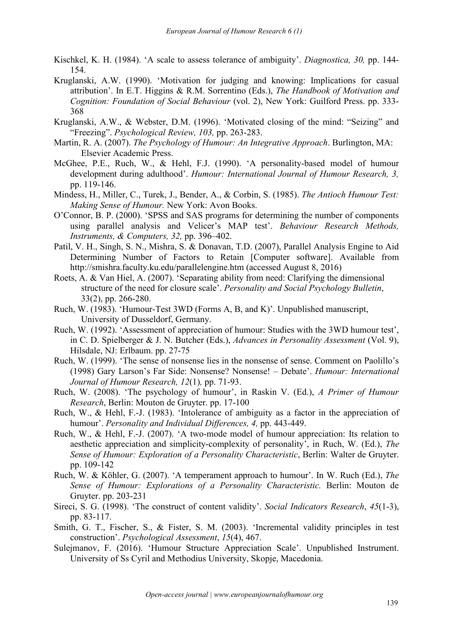- Kischkel, K. H. (1984). 'A scale to assess tolerance of ambiguity'. *Diagnostica, 30,* pp. 144- 154.
- Kruglanski, A.W. (1990). 'Motivation for judging and knowing: Implications for casual attribution'. In E.T. Higgins & R.M. Sorrentino (Eds.), *The Handbook of Motivation and Cognition: Foundation of Social Behaviour* (vol. 2), New York: Guilford Press. pp. 333- 368
- Kruglanski, A.W., & Webster, D.M. (1996). 'Motivated closing of the mind: "Seizing" and "Freezing". *Psychological Review, 103,* pp. 263-283.
- Martin, R. A. (2007). *The Psychology of Humour: An Integrative Approach*. Burlington, MA: Elsevier Academic Press.
- McGhee, P.E., Ruch, W., & Hehl, F.J. (1990). 'A personality-based model of humour development during adulthood'. *Humour: International Journal of Humour Research, 3,* pp. 119-146.
- Mindess, H., Miller, C., Turek, J., Bender, A., & Corbin, S. (1985). *The Antioch Humour Test: Making Sense of Humour.* New York: Avon Books.
- O'Connor, B. P. (2000). 'SPSS and SAS programs for determining the number of components using parallel analysis and Velicer's MAP test'. *Behaviour Research Methods, Instruments, & Computers, 32,* pp. 396–402.
- Patil, V. H., Singh, S. N., Mishra, S. & Donavan, T.D. (2007), Parallel Analysis Engine to Aid Determining Number of Factors to Retain [Computer software]. Available from http://smishra.faculty.ku.edu/parallelengine.htm (accessed August 8, 2016)
- Roets, A. & Van Hiel, A. (2007). 'Separating ability from need: Clarifying the dimensional structure of the need for closure scale'. *Personality and Social Psychology Bulletin*,33(2), pp. 266-280.
- Ruch, W. (1983). 'Humour-Test 3WD (Forms A, B, and K)'. Unpublished manuscript, University of Dusseldorf, Germany.
- Ruch, W. (1992). 'Assessment of appreciation of humour: Studies with the 3WD humour test', in C. D. Spielberger & J. N. Butcher (Eds.), *Advances in Personality Assessment* (Vol. 9), Hilsdale, NJ: Erlbaum. pp. 27-75
- Ruch, W. (1999). 'The sense of nonsense lies in the nonsense of sense. Comment on Paolillo's (1998) Gary Larson's Far Side: Nonsense? Nonsense! – Debate'. *Humour: International Journal of Humour Research, 12*(1)*,* pp. 71-93.
- Ruch, W. (2008). 'The psychology of humour', in Raskin V. (Ed.), *A Primer of Humour Research*, Berlin: Mouton de Gruyter. pp. 17-100
- Ruch, W., & Hehl, F.-J. (1983). 'Intolerance of ambiguity as a factor in the appreciation of humour'. *Personality and Individual Dif erences, 4,* pp. 443-449.
- Ruch, W., & Hehl, F.-J. (2007). 'A two-mode model of humour appreciation: Its relation to aesthetic appreciation and simplicity-complexity of personality', in Ruch, W. (Ed.), *The Sense of Humour: Exploration of a Personality Characteristic*, Berlin: Walter de Gruyter. pp. 109-142
- Ruch, W. & Köhler, G. (2007). 'A temperament approach to humour'. In W. Ruch (Ed.), *The Sense of Humour: Explorations of a Personality Characteristic.* Berlin: Mouton de Gruyter. pp. 203-231
- Sireci, S. G. (1998). 'The construct of content validity'. *Social Indicators Research*, *45*(1-3), pp. 83-117.
- Smith, G. T., Fischer, S., & Fister, S. M. (2003). 'Incremental validity principles in test construction'. *Psychological Assessment*, *15*(4), 467.
- Sulejmanov, F. (2016). 'Humour Structure Appreciation Scale'. Unpublished Instrument. University of Ss Cyril and Methodius University, Skopje, Macedonia.